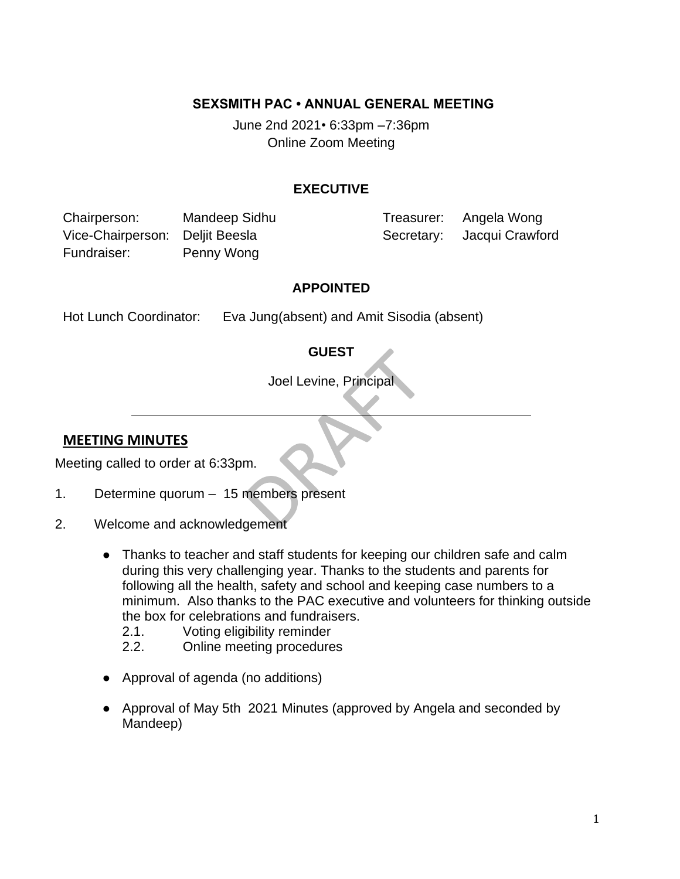### **SEXSMITH PAC • ANNUAL GENERAL MEETING**

June 2nd 2021*•* 6:33pm –7:36pm Online Zoom Meeting

#### **EXECUTIVE**

Chairperson: Mandeep Sidhu Treasurer: Angela Wong Vice-Chairperson: Deljit Beesla Secretary: Jacqui Crawford Fundraiser: Penny Wong

### **APPOINTED**

Hot Lunch Coordinator: Eva Jung(absent) and Amit Sisodia (absent)

### **GUEST**

Joel Levine, Principal

### **MEETING MINUTES**

Meeting called to order at 6:33pm.

- 1. Determine quorum 15 members present
- 2. Welcome and acknowledgement
	- Thanks to teacher and staff students for keeping our children safe and calm during this very challenging year. Thanks to the students and parents for following all the health, safety and school and keeping case numbers to a minimum. Also thanks to the PAC executive and volunteers for thinking outside the box for celebrations and fundraisers.
		- 2.1. Voting eligibility reminder
		- 2.2. Online meeting procedures
	- Approval of agenda (no additions)
	- Approval of May 5th 2021 Minutes (approved by Angela and seconded by Mandeep)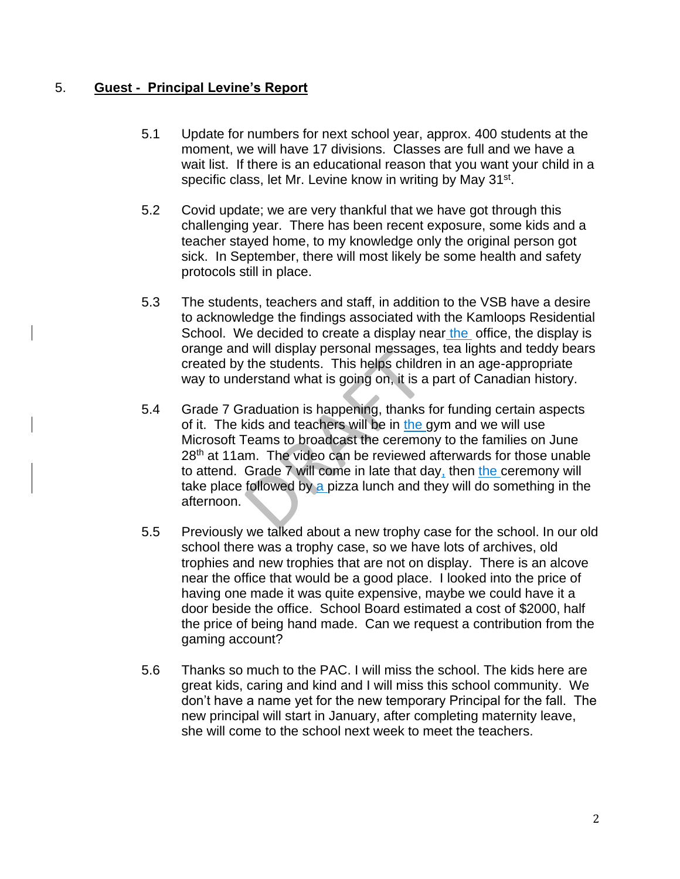## 5. **Guest - Principal Levine's Report**

- 5.1 Update for numbers for next school year, approx. 400 students at the moment, we will have 17 divisions. Classes are full and we have a wait list. If there is an educational reason that you want your child in a specific class, let Mr. Levine know in writing by May 31<sup>st</sup>.
- 5.2 Covid update; we are very thankful that we have got through this challenging year. There has been recent exposure, some kids and a teacher stayed home, to my knowledge only the original person got sick. In September, there will most likely be some health and safety protocols still in place.
- 5.3 The students, teachers and staff, in addition to the VSB have a desire to acknowledge the findings associated with the Kamloops Residential School. We decided to create a display near the office, the display is orange and will display personal messages, tea lights and teddy bears created by the students. This helps children in an age-appropriate way to understand what is going on, it is a part of Canadian history.
- 5.4 Grade 7 Graduation is happening, thanks for funding certain aspects of it. The kids and teachers will be in the gym and we will use Microsoft Teams to broadcast the ceremony to the families on June 28<sup>th</sup> at 11am. The video can be reviewed afterwards for those unable to attend. Grade 7 will come in late that day, then the ceremony will take place followed by a pizza lunch and they will do something in the afternoon.
- 5.5 Previously we talked about a new trophy case for the school. In our old school there was a trophy case, so we have lots of archives, old trophies and new trophies that are not on display. There is an alcove near the office that would be a good place. I looked into the price of having one made it was quite expensive, maybe we could have it a door beside the office. School Board estimated a cost of \$2000, half the price of being hand made. Can we request a contribution from the gaming account?
- 5.6 Thanks so much to the PAC. I will miss the school. The kids here are great kids, caring and kind and I will miss this school community. We don't have a name yet for the new temporary Principal for the fall. The new principal will start in January, after completing maternity leave, she will come to the school next week to meet the teachers.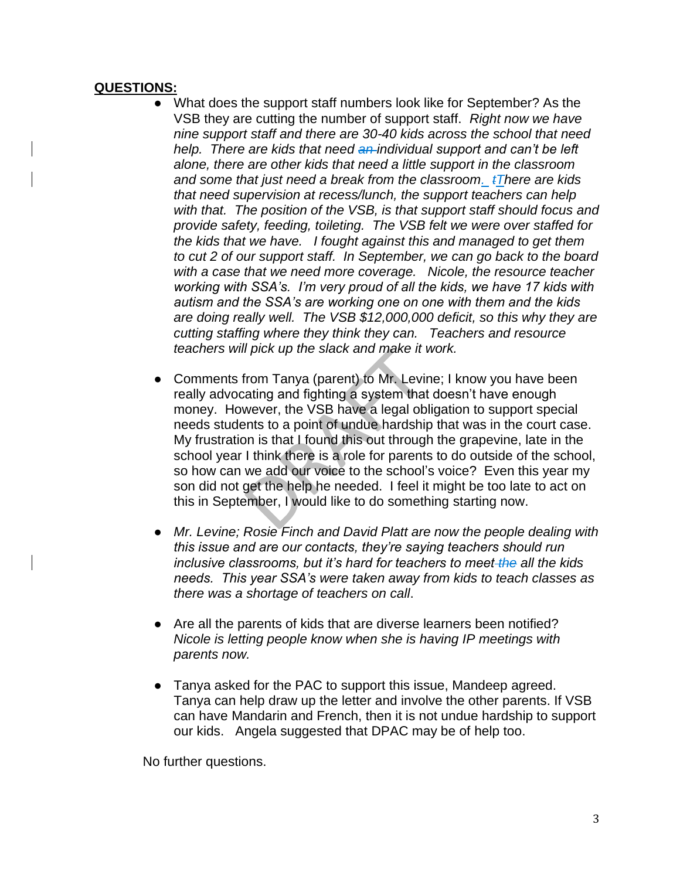### **QUESTIONS:**

- What does the support staff numbers look like for September? As the VSB they are cutting the number of support staff. *Right now we have nine support staff and there are 30-40 kids across the school that need help. There are kids that need an individual support and can't be left alone, there are other kids that need a little support in the classroom and some that just need a break from the classroom. tThere are kids that need supervision at recess/lunch, the support teachers can help with that. The position of the VSB, is that support staff should focus and provide safety, feeding, toileting. The VSB felt we were over staffed for the kids that we have. I fought against this and managed to get them to cut 2 of our support staff. In September, we can go back to the board with a case that we need more coverage. Nicole, the resource teacher working with SSA's. I'm very proud of all the kids, we have 17 kids with autism and the SSA's are working one on one with them and the kids are doing really well. The VSB \$12,000,000 deficit, so this why they are cutting staffing where they think they can. Teachers and resource teachers will pick up the slack and make it work.*
- Comments from Tanya (parent) to Mr. Levine; I know you have been really advocating and fighting a system that doesn't have enough money. However, the VSB have a legal obligation to support special needs students to a point of undue hardship that was in the court case. My frustration is that I found this out through the grapevine, late in the school year I think there is a role for parents to do outside of the school, so how can we add our voice to the school's voice? Even this year my son did not get the help he needed. I feel it might be too late to act on this in September, I would like to do something starting now.
- *Mr. Levine; Rosie Finch and David Platt are now the people dealing with this issue and are our contacts, they're saying teachers should run inclusive classrooms, but it's hard for teachers to meet the all the kids needs. This year SSA's were taken away from kids to teach classes as there was a shortage of teachers on call*.
- Are all the parents of kids that are diverse learners been notified? *Nicole is letting people know when she is having IP meetings with parents now.*
- Tanya asked for the PAC to support this issue, Mandeep agreed. Tanya can help draw up the letter and involve the other parents. If VSB can have Mandarin and French, then it is not undue hardship to support our kids. Angela suggested that DPAC may be of help too.

No further questions.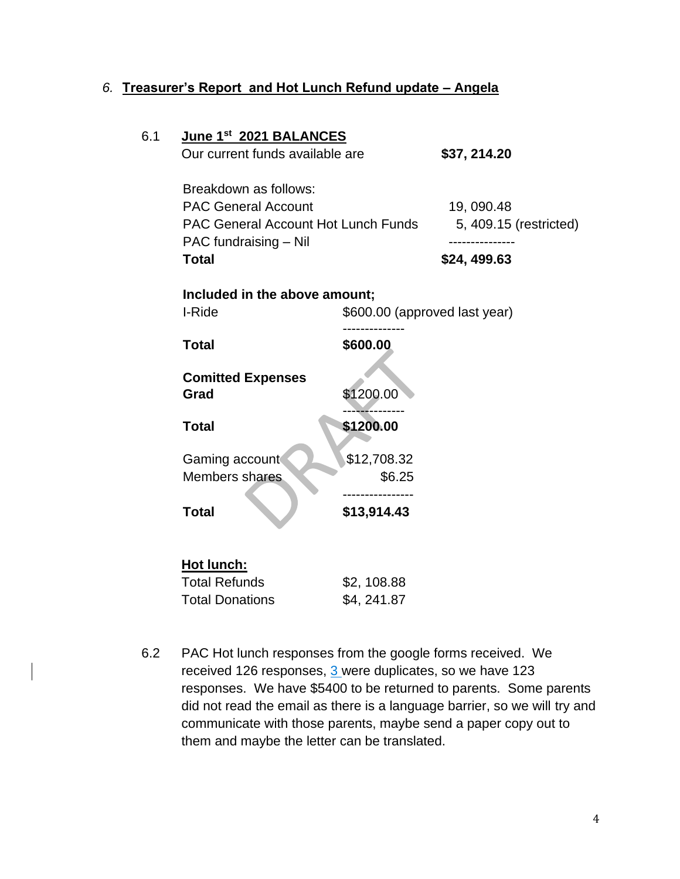# *6.* **Treasurer's Report and Hot Lunch Refund update – Angela**

| Our current funds available are                                                                                                            |                           | \$37, 214.20           |                        |
|--------------------------------------------------------------------------------------------------------------------------------------------|---------------------------|------------------------|------------------------|
| Breakdown as follows:<br><b>PAC General Account</b><br><b>PAC General Account Hot Lunch Funds</b><br>PAC fundraising - Nil<br><b>Total</b> |                           | 19,090.48              | 5, 409.15 (restricted) |
|                                                                                                                                            |                           | \$24, 499.63           |                        |
| Included in the above amount;<br>I-Ride<br>\$600.00 (approved last year)                                                                   |                           |                        |                        |
| <b>Total</b>                                                                                                                               | \$600.00                  |                        |                        |
| <b>Comitted Expenses</b><br>Grad                                                                                                           | \$1200.00                 |                        |                        |
| <b>Total</b>                                                                                                                               | \$1200.00                 |                        |                        |
| Gaming account<br>Members shares                                                                                                           | \$12,708.32<br>\$6.25     |                        |                        |
| <b>Total</b>                                                                                                                               | \$13,914.43               |                        |                        |
|                                                                                                                                            |                           |                        |                        |
| Hot lunch:<br><b>Total Refunds</b><br><b>Total Donations</b>                                                                               | \$2,108.88<br>\$4, 241.87 |                        |                        |
|                                                                                                                                            |                           | June 1st 2021 BALANCES |                        |

6.2 PAC Hot lunch responses from the google forms received. We received 126 responses, 3 were duplicates, so we have 123 responses. We have \$5400 to be returned to parents. Some parents did not read the email as there is a language barrier, so we will try and communicate with those parents, maybe send a paper copy out to them and maybe the letter can be translated.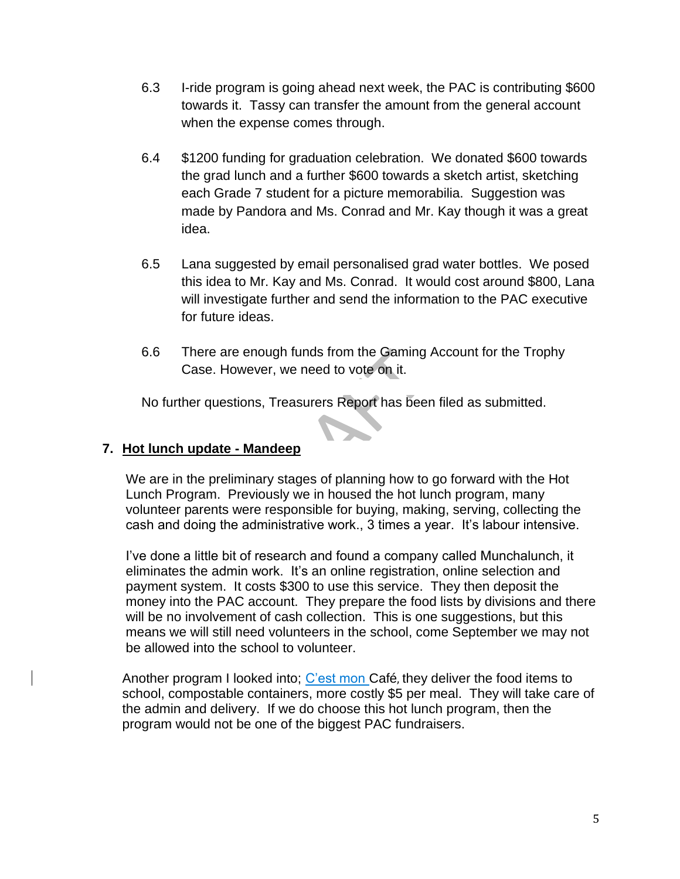- 6.3 I-ride program is going ahead next week, the PAC is contributing \$600 towards it. Tassy can transfer the amount from the general account when the expense comes through.
- 6.4 \$1200 funding for graduation celebration. We donated \$600 towards the grad lunch and a further \$600 towards a sketch artist, sketching each Grade 7 student for a picture memorabilia. Suggestion was made by Pandora and Ms. Conrad and Mr. Kay though it was a great idea.
- 6.5 Lana suggested by email personalised grad water bottles. We posed this idea to Mr. Kay and Ms. Conrad. It would cost around \$800, Lana will investigate further and send the information to the PAC executive for future ideas.
- 6.6 There are enough funds from the Gaming Account for the Trophy Case. However, we need to vote on it.

No further questions, Treasurers Report has been filed as submitted.

## **7. Hot lunch update - Mandeep**

We are in the preliminary stages of planning how to go forward with the Hot Lunch Program. Previously we in housed the hot lunch program, many volunteer parents were responsible for buying, making, serving, collecting the cash and doing the administrative work., 3 times a year. It's labour intensive.

I've done a little bit of research and found a company called Munchalunch, it eliminates the admin work. It's an online registration, online selection and payment system. It costs \$300 to use this service. They then deposit the money into the PAC account. They prepare the food lists by divisions and there will be no involvement of cash collection. This is one suggestions, but this means we will still need volunteers in the school, come September we may not be allowed into the school to volunteer.

Another program I looked into; C'est mon Café, they deliver the food items to school, compostable containers, more costly \$5 per meal. They will take care of the admin and delivery. If we do choose this hot lunch program, then the program would not be one of the biggest PAC fundraisers.